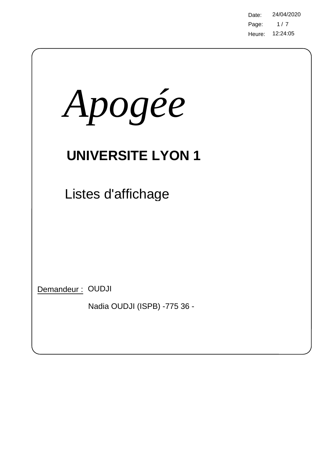Page: Heure: 12:24:05 Date: 24/04/2020  $1/7$ 

| Apogée                                           |  |
|--------------------------------------------------|--|
| <b>UNIVERSITE LYON 1</b>                         |  |
| Listes d'affichage                               |  |
|                                                  |  |
| Demandeur: OUDJI<br>Nadia OUDJI (ISPB) -775 36 - |  |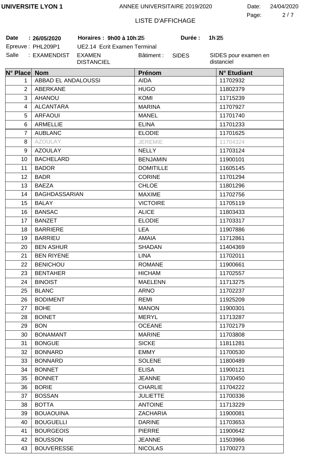2 7 Page: Date: 24/04/2020

# LISTE D'AFFICHAGE

**Date 26/05/2020 Horaires : 9h00 à 10h30 Durée : 1h30**

| <b>Date</b> | : 26/05/2020      |
|-------------|-------------------|
|             | Epreuve: PHL209P1 |
|             |                   |

UE2.14 Ecrit Examen Terminal Salle : EXAMENDIST EXAMEN DISTANCIEL Bâtiment :

SIDES

**Durée:** 

| N° Place Nom   |                      | Prénom           | N° Etudiant |
|----------------|----------------------|------------------|-------------|
| 1              | ABBAD EL ANDALOUSSI  | <b>AIDA</b>      | 11702932    |
| 2              | ABERKANE             | <b>HUGO</b>      | 11802379    |
| 3              | <b>AHANOU</b>        | <b>KOMI</b>      | 11715239    |
| 4              | <b>ALCANTARA</b>     | <b>MARINA</b>    | 11707927    |
| 5              | <b>ARFAOUI</b>       | <b>MANEL</b>     | 11701740    |
| 6              | <b>ARMELLIE</b>      | <b>ELINA</b>     | 11701233    |
| $\overline{7}$ | <b>AUBLANC</b>       | <b>ELODIE</b>    | 11701625    |
| 8              | <b>AZOULAY</b>       | <b>JEREMIE</b>   | 11704324    |
| 9              | <b>AZOULAY</b>       | <b>NELLY</b>     | 11703124    |
| 10             | <b>BACHELARD</b>     | <b>BENJAMIN</b>  | 11900101    |
| 11             | <b>BADOR</b>         | <b>DOMITILLE</b> | 11605145    |
| 12             | <b>BADR</b>          | <b>CORINE</b>    | 11701294    |
| 13             | <b>BAEZA</b>         | <b>CHLOE</b>     | 11801296    |
| 14             | <b>BAGHDASSARIAN</b> | <b>MAXIME</b>    | 11702756    |
| 15             | <b>BALAY</b>         | <b>VICTOIRE</b>  | 11705119    |
| 16             | <b>BANSAC</b>        | <b>ALICE</b>     | 11803433    |
| 17             | <b>BANZET</b>        | <b>ELODIE</b>    | 11703317    |
| 18             | <b>BARRIERE</b>      | <b>LEA</b>       | 11907886    |
| 19             | <b>BARRIEU</b>       | <b>AMAIA</b>     | 11712861    |
| 20             | <b>BEN ASHUR</b>     | <b>SHADAN</b>    | 11404369    |
| 21             | <b>BEN RIYENE</b>    | <b>LINA</b>      | 11702011    |
| 22             | <b>BENICHOU</b>      | <b>ROMANE</b>    | 11900661    |
| 23             | <b>BENTAHER</b>      | <b>HICHAM</b>    | 11702557    |
| 24             | <b>BINOIST</b>       | <b>MAELENN</b>   | 11713275    |
| 25             | <b>BLANC</b>         | <b>ARNO</b>      | 11702237    |
| 26             | <b>BODIMENT</b>      | REMI             | 11925209    |
| 27             | <b>BOHE</b>          | <b>MANON</b>     | 11900301    |
| 28             | <b>BOINET</b>        | <b>MERYL</b>     | 11713287    |
| 29             | <b>BON</b>           | <b>OCEANE</b>    | 11702179    |
| 30             | <b>BONAMANT</b>      | <b>MARINE</b>    | 11703808    |
| 31             | <b>BONGUE</b>        | <b>SICKE</b>     | 11811281    |
| 32             | <b>BONNARD</b>       | <b>EMMY</b>      | 11700530    |
| 33             | <b>BONNARD</b>       | <b>SOLENE</b>    | 11800489    |
| 34             | <b>BONNET</b>        | <b>ELISA</b>     | 11900121    |
| 35             | <b>BONNET</b>        | <b>JEANNE</b>    | 11700450    |
| 36             | <b>BORIE</b>         | <b>CHARLIE</b>   | 11704222    |
| 37             | <b>BOSSAN</b>        | <b>JULIETTE</b>  | 11700336    |
| 38             | <b>BOTTA</b>         | <b>ANTOINE</b>   | 11713229    |
| 39             | <b>BOUAOUINA</b>     | <b>ZACHARIA</b>  | 11900081    |
| 40             | <b>BOUGUELLI</b>     | <b>DARINE</b>    | 11703653    |
| 41             | <b>BOURGEOIS</b>     | <b>PIERRE</b>    | 11900642    |
| 42             | <b>BOUSSON</b>       | <b>JEANNE</b>    | 11503966    |
| 43             | <b>BOUVERESSE</b>    | <b>NICOLAS</b>   | 11700273    |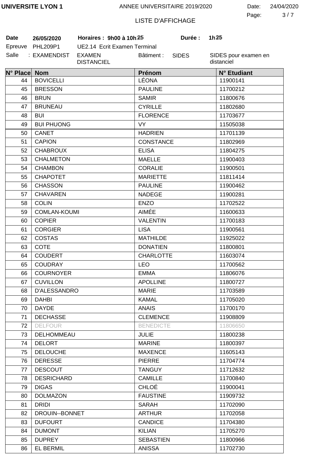3 7 Page: Date: 24/04/2020

# LISTE D'AFFICHAGE

**Date 26/05/2020 Horaires : 9h00 à 10h30 Durée : 1h30**

| Date    | 26/05/2020   |
|---------|--------------|
| Epreuve | PHL209P1     |
| Salle   | : EXAMENDIST |

UE2.14 Ecrit Examen Terminal EXAMEN DISTANCIEL Bâtiment :

SIDES

**Durée:** 

| N° Place Nom |                     | Prénom           | N° Etudiant |
|--------------|---------------------|------------------|-------------|
| 44           | <b>BOVICELLI</b>    | LÉONA            | 11900141    |
| 45           | <b>BRESSON</b>      | <b>PAULINE</b>   | 11700212    |
| 46           | <b>BRUN</b>         | <b>SAMIR</b>     | 11800676    |
| 47           | <b>BRUNEAU</b>      | <b>CYRILLE</b>   | 11802680    |
| 48           | <b>BUI</b>          | <b>FLORENCE</b>  | 11703677    |
| 49           | <b>BUI PHUONG</b>   | <b>VY</b>        | 11505038    |
| 50           | <b>CANET</b>        | <b>HADRIEN</b>   | 11701139    |
| 51           | <b>CAPION</b>       | <b>CONSTANCE</b> | 11802969    |
| 52           | <b>CHABROUX</b>     | <b>ELISA</b>     | 11804275    |
| 53           | <b>CHALMETON</b>    | <b>MAELLE</b>    | 11900403    |
| 54           | <b>CHAMBON</b>      | <b>CORALIE</b>   | 11900501    |
| 55           | <b>CHAPOTET</b>     | <b>MARIETTE</b>  | 11811414    |
| 56           | <b>CHASSON</b>      | <b>PAULINE</b>   | 11900462    |
| 57           | <b>CHAVAREN</b>     | <b>NADEGE</b>    | 11900281    |
| 58           | <b>COLIN</b>        | <b>ENZO</b>      | 11702522    |
| 59           | <b>COMLAN-KOUMI</b> | AIMÉE            | 11600633    |
| 60           | <b>COPIER</b>       | <b>VALENTIN</b>  | 11700183    |
| 61           | <b>CORGIER</b>      | <b>LISA</b>      | 11900561    |
| 62           | COSTAS              | <b>MATHILDE</b>  | 11925022    |
| 63           | <b>COTE</b>         | <b>DONATIEN</b>  | 11800801    |
| 64           | <b>COUDERT</b>      | <b>CHARLOTTE</b> | 11603074    |
| 65           | <b>COUDRAY</b>      | <b>LEO</b>       | 11700562    |
| 66           | <b>COURNOYER</b>    | <b>EMMA</b>      | 11806076    |
| 67           | <b>CUVILLON</b>     | <b>APOLLINE</b>  | 11800727    |
| 68           | D'ALESSANDRO        | <b>MARIE</b>     | 11703589    |
| 69           | <b>DAHBI</b>        | <b>KAMAL</b>     | 11705020    |
| 70           | <b>DAYDE</b>        | <b>ANAIS</b>     | 11700170    |
| 71           | <b>DECHASSE</b>     | <b>CLEMENCE</b>  | 11908809    |
| 72           | <b>DELFOUR</b>      | <b>BENEDICTE</b> | 11806650    |
| 73           | DELHOMMEAU          | <b>JULIE</b>     | 11800238    |
| 74           | <b>DELORT</b>       | <b>MARINE</b>    | 11800397    |
| 75           | <b>DELOUCHE</b>     | <b>MAXENCE</b>   | 11605143    |
| 76           | <b>DERESSE</b>      | <b>PIERRE</b>    | 11704774    |
| 77           | <b>DESCOUT</b>      | <b>TANGUY</b>    | 11712632    |
| 78           | <b>DESRICHARD</b>   | <b>CAMILLE</b>   | 11700840    |
| 79           | <b>DIGAS</b>        | <b>CHLOÉ</b>     | 11900041    |
| 80           | <b>DOLMAZON</b>     | <b>FAUSTINE</b>  | 11909732    |
| 81           | <b>DRIDI</b>        | <b>SARAH</b>     | 11702090    |
| 82           | DROUIN--BONNET      | <b>ARTHUR</b>    | 11702058    |
| 83           | <b>DUFOURT</b>      | <b>CANDICE</b>   | 11704380    |
| 84           | <b>DUMONT</b>       | <b>KILIAN</b>    | 11705270    |
| 85           | <b>DUPREY</b>       | <b>SEBASTIEN</b> | 11800966    |
| 86           | <b>EL BERMIL</b>    | <b>ANISSA</b>    | 11702730    |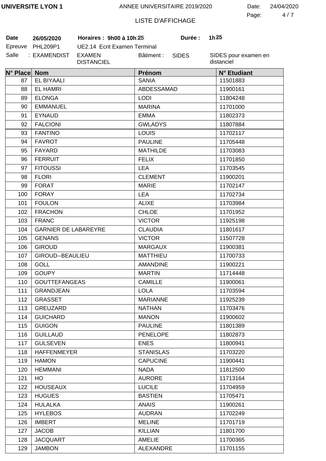4 7 Page: Date: 24/04/2020

# LISTE D'AFFICHAGE

**Date 26/05/2020 Horaires : 9h00 à 10h30 Durée : 1h30**

| Date    | 26/05/2020      |
|---------|-----------------|
| Epreuve | <b>PHL209P1</b> |
| Salle   | : EXAMENDIST    |

UE2.14 Ecrit Examen Terminal **EXAMEN** DISTANCIEL Bâtiment :

SIDES

**Durée:** 

| N° Place Nom |                             | Prénom           | N° Etudiant |
|--------------|-----------------------------|------------------|-------------|
| 87           | <b>EL BIYAALI</b>           | <b>SANIA</b>     | 11501883    |
| 88           | <b>EL HAMRI</b>             | ABDESSAMAD       | 11900161    |
| 89           | <b>ELONGA</b>               | <b>LODI</b>      | 11804248    |
| 90           | <b>EMMANUEL</b>             | <b>MARINA</b>    | 11701000    |
| 91           | <b>EYNAUD</b>               | <b>EMMA</b>      | 11802373    |
| 92           | <b>FALCIONI</b>             | <b>GWLADYS</b>   | 11807884    |
| 93           | <b>FANTINO</b>              | <b>LOUIS</b>     | 11702117    |
| 94           | <b>FAVROT</b>               | <b>PAULINE</b>   | 11705448    |
| 95           | FAYARD                      | <b>MATHILDE</b>  | 11703083    |
| 96           | <b>FERRUIT</b>              | <b>FELIX</b>     | 11701850    |
| 97           | <b>FITOUSSI</b>             | <b>LEA</b>       | 11703545    |
| 98           | <b>FLORI</b>                | <b>CLEMENT</b>   | 11900201    |
| 99           | <b>FORAT</b>                | <b>MARIE</b>     | 11702147    |
| 100          | <b>FORAY</b>                | <b>LEA</b>       | 11702734    |
| 101          | <b>FOULON</b>               | <b>ALIXE</b>     | 11703984    |
| 102          | <b>FRACHON</b>              | <b>CHLOE</b>     | 11701952    |
| 103          | <b>FRANC</b>                | <b>VICTOR</b>    | 11925198    |
| 104          | <b>GARNIER DE LABAREYRE</b> | <b>CLAUDIA</b>   | 11801617    |
| 105          | <b>GENANS</b>               | <b>VICTOR</b>    | 11507728    |
| 106          | <b>GIROUD</b>               | <b>MARGAUX</b>   | 11900381    |
| 107          | GIROUD--BEAULIEU            | <b>MATTHIEU</b>  | 11700733    |
| 108          | <b>GOLL</b>                 | <b>AMANDINE</b>  | 11900221    |
| 109          | <b>GOUPY</b>                | <b>MARTIN</b>    | 11714448    |
| 110          | <b>GOUTTEFANGEAS</b>        | <b>CAMILLE</b>   | 11900061    |
| 111          | <b>GRANDJEAN</b>            | <b>LOLA</b>      | 11703594    |
| 112          | <b>GRASSET</b>              | <b>MARIANNE</b>  | 11925239    |
| 113          | GREUZARD                    | <b>NATHAN</b>    | 11703476    |
| 114          | <b>GUICHARD</b>             | <b>MANON</b>     | 11900602    |
| 115          | <b>GUIGON</b>               | <b>PAULINE</b>   | 11801389    |
| 116          | <b>GUILLAUD</b>             | <b>PENELOPE</b>  | 11802873    |
| 117          | <b>GULSEVEN</b>             | <b>ENES</b>      | 11800941    |
| 118          | <b>HAFFENMEYER</b>          | <b>STANISLAS</b> | 11703220    |
| 119          | <b>HAMON</b>                | <b>CAPUCINE</b>  | 11900441    |
| 120          | <b>HEMMANI</b>              | <b>NADA</b>      | 11812500    |
| 121          | HO                          | <b>AURORE</b>    | 11713164    |
| 122          | <b>HOUSEAUX</b>             | <b>LUCILE</b>    | 11704959    |
| 123          | <b>HUGUES</b>               | <b>BASTIEN</b>   | 11705471    |
| 124          | <b>HULALKA</b>              | <b>ANAIS</b>     | 11900261    |
| 125          | <b>HYLEBOS</b>              | <b>AUDRAN</b>    | 11702249    |
| 126          | <b>IMBERT</b>               | <b>MELINE</b>    | 11701719    |
| 127          | <b>JACOB</b>                | <b>KILLIAN</b>   | 11801700    |
| 128          | <b>JACQUART</b>             | <b>AMELIE</b>    | 11700365    |
| 129          | <b>JAMBON</b>               | <b>ALEXANDRE</b> | 11701155    |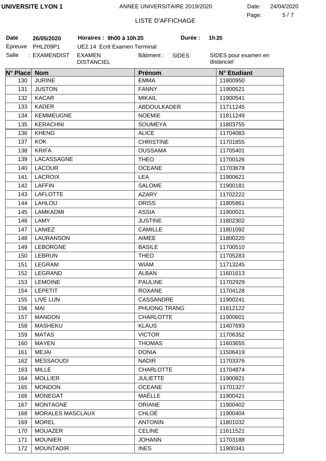5 7 Page: Date: 24/04/2020

# LISTE D'AFFICHAGE

**Date 26/05/2020 Horaires : 9h00 à 10h30 Durée : 1h30**

| Date    | 26/05/2020   |
|---------|--------------|
| Epreuve | PHL209P1     |
| Salle   | : EXAMENDIST |

UE2.14 Ecrit Examen Terminal EXAMEN DISTANCIEL Bâtiment :

SIDES

**Durée:** 

| N° Place Nom |                         | Prénom             | N° Etudiant |
|--------------|-------------------------|--------------------|-------------|
| 130          | <b>JURINE</b>           | <b>EMMA</b>        | 11800950    |
| 131          | <b>JUSTON</b>           | <b>FANNY</b>       | 11900521    |
| 132          | <b>KACAR</b>            | <b>MIKAIL</b>      | 11900541    |
| 133          | <b>KADER</b>            | <b>ABDOULKADER</b> | 11711245    |
| 134          | <b>KEMMEUGNE</b>        | <b>NOEMIE</b>      | 11811249    |
| 135          | <b>KERACHNI</b>         | <b>SOUMEYA</b>     | 11803755    |
| 136          | <b>KHENG</b>            | <b>ALICE</b>       | 11704083    |
| 137          | <b>KOK</b>              | <b>CHRISTINE</b>   | 11701855    |
| 138          | <b>KRIFA</b>            | <b>OUSSAMA</b>     | 11705401    |
| 139          | LACASSAGNE              | <b>THEO</b>        | 11700126    |
| 140          | <b>LACOUR</b>           | <b>OCEANE</b>      | 11703678    |
| 141          | <b>LACROIX</b>          | <b>LEA</b>         | 11900621    |
| 142          | <b>LAFFIN</b>           | <b>SALOME</b>      | 11900181    |
| 143          | <b>LAFLOTTE</b>         | <b>AZARY</b>       | 11702222    |
| 144          | <b>LAHLOU</b>           | <b>DRISS</b>       | 11805861    |
| 145          | LAMKADMI                | <b>ASSIA</b>       | 11900021    |
| 146          | LAMY                    | <b>JUSTINE</b>     | 11802302    |
| 147          | <b>LANIEZ</b>           | <b>CAMILLE</b>     | 11801092    |
| 148          | <b>LAURANSON</b>        | <b>AIMEE</b>       | 11800220    |
| 149          | <b>LEBORGNE</b>         | <b>BASILE</b>      | 11700510    |
| 150          | <b>LEBRUN</b>           | <b>THEO</b>        | 11705283    |
| 151          | <b>LEGRAM</b>           | <b>WIAM</b>        | 11713245    |
| 152          | LEGRAND                 | <b>ALBAN</b>       | 11601613    |
| 153          | <b>LEMOINE</b>          | <b>PAULINE</b>     | 11702929    |
| 154          | <b>LEPETIT</b>          | <b>ROXANE</b>      | 11704128    |
| 155          | LIVE LUN                | <b>CASSANDRE</b>   | 11900241    |
| 156          | MAI                     | PHUONG TRANG       | 11612122    |
| 157          | <b>MANDON</b>           | <b>CHARLOTTE</b>   | 11900601    |
| 158          | <b>MASHEKU</b>          | <b>KLAUS</b>       | 11407693    |
| 159          | <b>MATAS</b>            | <b>VICTOR</b>      | 11706352    |
| 160          | <b>MAYEN</b>            | <b>THOMAS</b>      | 11603655    |
| 161          | <b>MEJAI</b>            | <b>DONIA</b>       | 11506419    |
| 162          | <b>MESSAOUDI</b>        | <b>NADIR</b>       | 11703376    |
| 163          | <b>MILLE</b>            | <b>CHARLOTTE</b>   | 11704874    |
| 164          | <b>MOLLIER</b>          | <b>JULIETTE</b>    | 11900821    |
| 165          | <b>MONDON</b>           | <b>OCEANE</b>      | 11701327    |
| 166          | <b>MONEGAT</b>          | MAËLLE             | 11900421    |
| 167          | <b>MONTAGNE</b>         | <b>ORIANE</b>      | 11900402    |
| 168          | <b>MORALES MASCLAUX</b> | <b>CHLOÉ</b>       | 11900404    |
| 169          | <b>MOREL</b>            | <b>ANTONIN</b>     | 11801032    |
| 170          | <b>MOUAZER</b>          | <b>CELINE</b>      | 11611521    |
| 171          | <b>MOUNIER</b>          | <b>JOHANN</b>      | 11703188    |
| 172          | <b>MOUNTADIR</b>        | <b>INES</b>        | 11900341    |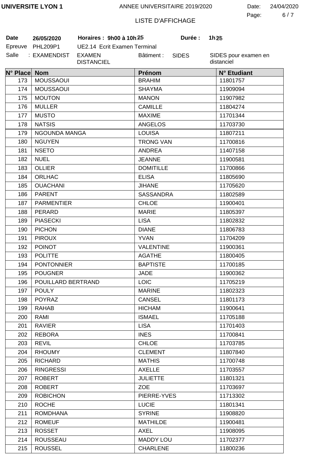6 7 Page: Date: 24/04/2020

# LISTE D'AFFICHAGE

| Date    | 26/05/2020   |
|---------|--------------|
| Epreuve | PHL209P1     |
| Salle   | : EXAMENDIST |

UE2.14 Ecrit Examen Terminal EXAMEN DISTANCIEL Bâtiment : **Date 26/05/2020 Horaires : 9h00 à 10h30 Durée : 1h30**

SIDES

**Durée:** 

| N° Place Nom |                    | Prénom           | N° Etudiant |
|--------------|--------------------|------------------|-------------|
| 173          | <b>MOUSSAOUI</b>   | <b>BRAHIM</b>    | 11801757    |
| 174          | <b>MOUSSAOUI</b>   | <b>SHAYMA</b>    | 11909094    |
| 175          | <b>MOUTON</b>      | <b>MANON</b>     | 11907982    |
| 176          | <b>MULLER</b>      | <b>CAMILLE</b>   | 11804274    |
| 177          | <b>MUSTO</b>       | <b>MAXIME</b>    | 11701344    |
| 178          | <b>NATSIS</b>      | <b>ANGELOS</b>   | 11703730    |
| 179          | NGOUNDA MANGA      | <b>LOUISA</b>    | 11807211    |
| 180          | <b>NGUYEN</b>      | <b>TRONG VAN</b> | 11700816    |
| 181          | <b>NSETO</b>       | <b>ANDREA</b>    | 11407158    |
| 182          | <b>NUEL</b>        | <b>JEANNE</b>    | 11900581    |
| 183          | <b>OLLIER</b>      | <b>DOMITILLE</b> | 11700866    |
| 184          | <b>ORLHAC</b>      | <b>ELISA</b>     | 11805690    |
| 185          | <b>OUACHANI</b>    | <b>JIHANE</b>    | 11705620    |
| 186          | <b>PARENT</b>      | <b>SASSANDRA</b> | 11802589    |
| 187          | <b>PARMENTIER</b>  | <b>CHLOE</b>     | 11900401    |
| 188          | PERARD             | <b>MARIE</b>     | 11805397    |
| 189          | <b>PIASECKI</b>    | <b>LISA</b>      | 11802832    |
| 190          | <b>PICHON</b>      | <b>DIANE</b>     | 11806783    |
| 191          | <b>PIROUX</b>      | <b>YVAN</b>      | 11704209    |
| 192          | <b>POINOT</b>      | <b>VALENTINE</b> | 11900361    |
| 193          | <b>POLITTE</b>     | <b>AGATHE</b>    | 11800405    |
| 194          | <b>PONTONNIER</b>  | <b>BAPTISTE</b>  | 11700185    |
| 195          | <b>POUGNER</b>     | <b>JADE</b>      | 11900362    |
| 196          | POUILLARD BERTRAND | <b>LOIC</b>      | 11705219    |
| 197          | <b>POULY</b>       | <b>MARINE</b>    | 11802323    |
| 198          | <b>POYRAZ</b>      | <b>CANSEL</b>    | 11801173    |
| 199          | <b>RAHAB</b>       | <b>HICHAM</b>    | 11900641    |
| 200          | RAMI               | <b>ISMAEL</b>    | 11705188    |
| 201          | <b>RAVIER</b>      | <b>LISA</b>      | 11701403    |
| 202          | <b>REBORA</b>      | <b>INES</b>      | 11700841    |
| 203          | <b>REVIL</b>       | <b>CHLOE</b>     | 11703785    |
| 204          | <b>RHOUMY</b>      | <b>CLEMENT</b>   | 11807840    |
| 205          | <b>RICHARD</b>     | <b>MATHIS</b>    | 11700748    |
| 206          | <b>RINGRESSI</b>   | <b>AXELLE</b>    | 11703557    |
| 207          | <b>ROBERT</b>      | <b>JULIETTE</b>  | 11801321    |
| 208          | <b>ROBERT</b>      | <b>ZOE</b>       | 11703697    |
| 209          | <b>ROBICHON</b>    | PIERRE-YVES      | 11713302    |
| 210          | <b>ROCHE</b>       | <b>LUCIE</b>     | 11801341    |
| 211          | <b>ROMDHANA</b>    | <b>SYRINE</b>    | 11908820    |
| 212          | <b>ROMEUF</b>      | <b>MATHILDE</b>  | 11900481    |
| 213          | <b>ROSSET</b>      | <b>AXEL</b>      | 11908095    |
| 214          | <b>ROUSSEAU</b>    | <b>MADDY LOU</b> | 11702377    |
| 215          | <b>ROUSSEL</b>     | <b>CHARLENE</b>  | 11800236    |